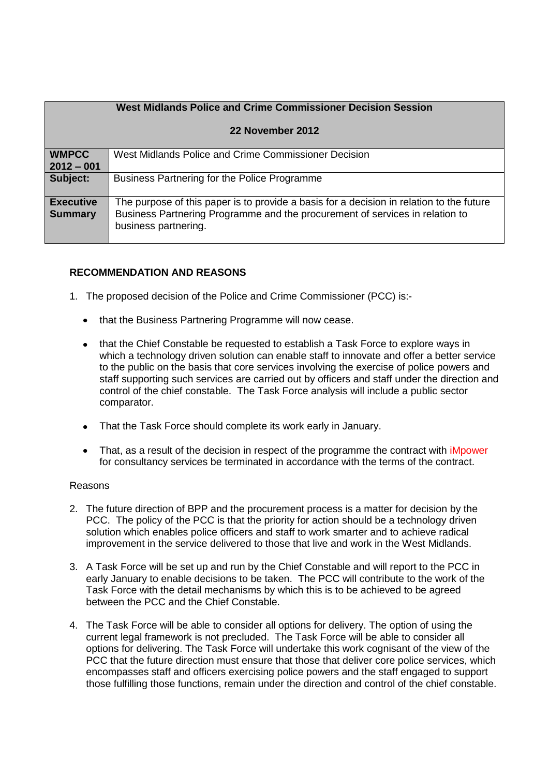| West Midlands Police and Crime Commissioner Decision Session |                                                                                                                                                                                                  |  |  |
|--------------------------------------------------------------|--------------------------------------------------------------------------------------------------------------------------------------------------------------------------------------------------|--|--|
| 22 November 2012                                             |                                                                                                                                                                                                  |  |  |
| <b>WMPCC</b><br>$2012 - 001$                                 | West Midlands Police and Crime Commissioner Decision                                                                                                                                             |  |  |
| Subject:                                                     | Business Partnering for the Police Programme                                                                                                                                                     |  |  |
| <b>Executive</b><br><b>Summary</b>                           | The purpose of this paper is to provide a basis for a decision in relation to the future<br>Business Partnering Programme and the procurement of services in relation to<br>business partnering. |  |  |

# **RECOMMENDATION AND REASONS**

- 1. The proposed decision of the Police and Crime Commissioner (PCC) is:-
	- that the Business Partnering Programme will now cease.
	- that the Chief Constable be requested to establish a Task Force to explore ways in which a technology driven solution can enable staff to innovate and offer a better service to the public on the basis that core services involving the exercise of police powers and staff supporting such services are carried out by officers and staff under the direction and control of the chief constable. The Task Force analysis will include a public sector comparator.
	- That the Task Force should complete its work early in January.
	- That, as a result of the decision in respect of the programme the contract with *iMpower* for consultancy services be terminated in accordance with the terms of the contract.

## Reasons

- 2. The future direction of BPP and the procurement process is a matter for decision by the PCC. The policy of the PCC is that the priority for action should be a technology driven solution which enables police officers and staff to work smarter and to achieve radical improvement in the service delivered to those that live and work in the West Midlands.
- 3. A Task Force will be set up and run by the Chief Constable and will report to the PCC in early January to enable decisions to be taken. The PCC will contribute to the work of the Task Force with the detail mechanisms by which this is to be achieved to be agreed between the PCC and the Chief Constable.
- 4. The Task Force will be able to consider all options for delivery. The option of using the current legal framework is not precluded. The Task Force will be able to consider all options for delivering. The Task Force will undertake this work cognisant of the view of the PCC that the future direction must ensure that those that deliver core police services, which encompasses staff and officers exercising police powers and the staff engaged to support those fulfilling those functions, remain under the direction and control of the chief constable.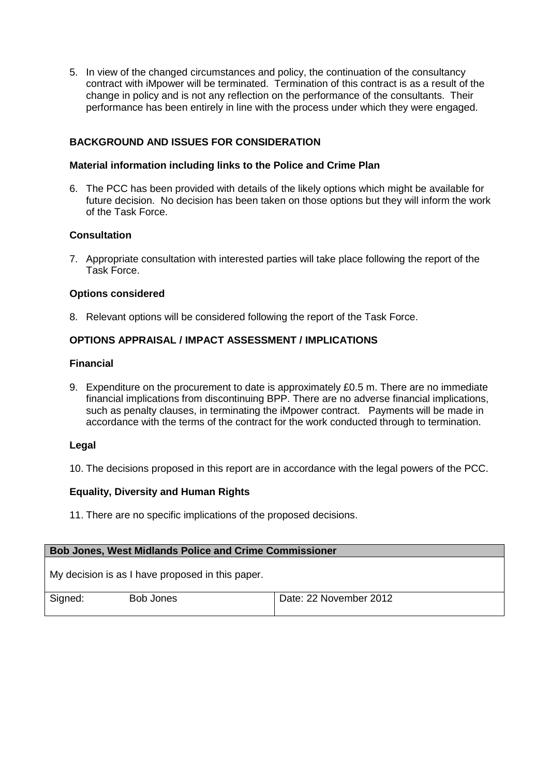5. In view of the changed circumstances and policy, the continuation of the consultancy contract with iMpower will be terminated. Termination of this contract is as a result of the change in policy and is not any reflection on the performance of the consultants. Their performance has been entirely in line with the process under which they were engaged.

## **BACKGROUND AND ISSUES FOR CONSIDERATION**

### **Material information including links to the Police and Crime Plan**

6. The PCC has been provided with details of the likely options which might be available for future decision. No decision has been taken on those options but they will inform the work of the Task Force.

## **Consultation**

7. Appropriate consultation with interested parties will take place following the report of the Task Force.

#### **Options considered**

8. Relevant options will be considered following the report of the Task Force.

## **OPTIONS APPRAISAL / IMPACT ASSESSMENT / IMPLICATIONS**

#### **Financial**

9. Expenditure on the procurement to date is approximately £0.5 m. There are no immediate financial implications from discontinuing BPP. There are no adverse financial implications, such as penalty clauses, in terminating the iMpower contract. Payments will be made in accordance with the terms of the contract for the work conducted through to termination.

#### **Legal**

10. The decisions proposed in this report are in accordance with the legal powers of the PCC.

## **Equality, Diversity and Human Rights**

11. There are no specific implications of the proposed decisions.

| <b>Bob Jones, West Midlands Police and Crime Commissioner</b> |                    |  |  |  |
|---------------------------------------------------------------|--------------------|--|--|--|
| My decision is as I have proposed in this paper.              |                    |  |  |  |
| $\sim$                                                        | -- - -<br>$\cdots$ |  |  |  |

| Signed: | Bob Jones | Date: 22 November 2012 |
|---------|-----------|------------------------|
|         |           |                        |